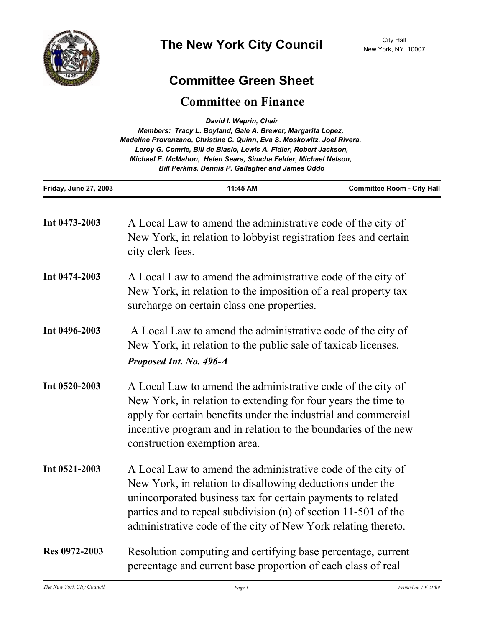

## **Committee Green Sheet**

# **Committee on Finance**

|                       | David I. Weprin, Chair<br>Members: Tracy L. Boyland, Gale A. Brewer, Margarita Lopez,<br>Madeline Provenzano, Christine C. Quinn, Eva S. Moskowitz, Joel Rivera,<br>Leroy G. Comrie, Bill de Blasio, Lewis A. Fidler, Robert Jackson,<br>Michael E. McMahon, Helen Sears, Simcha Felder, Michael Nelson,<br>Bill Perkins, Dennis P. Gallagher and James Oddo |                                   |
|-----------------------|--------------------------------------------------------------------------------------------------------------------------------------------------------------------------------------------------------------------------------------------------------------------------------------------------------------------------------------------------------------|-----------------------------------|
| Friday, June 27, 2003 | 11:45 AM                                                                                                                                                                                                                                                                                                                                                     | <b>Committee Room - City Hall</b> |
| Int 0473-2003         | A Local Law to amend the administrative code of the city of<br>New York, in relation to lobby ist registration fees and certain<br>city clerk fees.                                                                                                                                                                                                          |                                   |
| Int 0474-2003         | A Local Law to amend the administrative code of the city of<br>New York, in relation to the imposition of a real property tax<br>surcharge on certain class one properties.                                                                                                                                                                                  |                                   |
| Int 0496-2003         | A Local Law to amend the administrative code of the city of<br>New York, in relation to the public sale of taxicab licenses.<br>Proposed Int. No. 496-A                                                                                                                                                                                                      |                                   |
| Int 0520-2003         | A Local Law to amend the administrative code of the city of<br>New York, in relation to extending for four years the time to<br>apply for certain benefits under the industrial and commercial<br>incentive program and in relation to the boundaries of the new<br>construction exemption area.                                                             |                                   |
| Int 0521-2003         | A Local Law to amend the administrative code of the city of<br>New York, in relation to disallowing deductions under the<br>unincorporated business tax for certain payments to related<br>parties and to repeal subdivision (n) of section 11-501 of the<br>administrative code of the city of New York relating thereto.                                   |                                   |
| Res 0972-2003         | Resolution computing and certifying base percentage, current<br>percentage and current base proportion of each class of real                                                                                                                                                                                                                                 |                                   |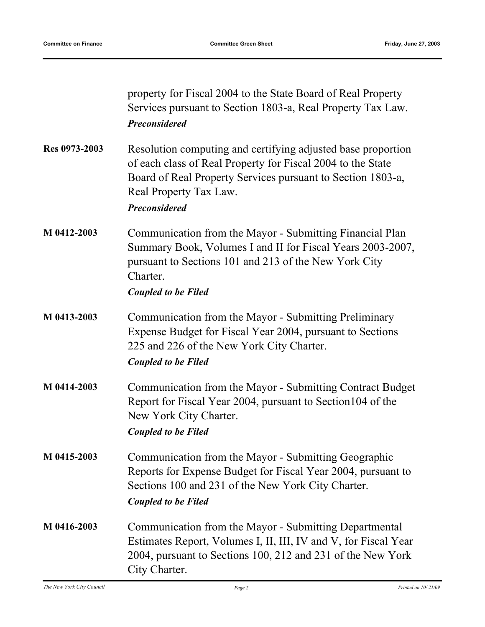|               | property for Fiscal 2004 to the State Board of Real Property<br>Services pursuant to Section 1803-a, Real Property Tax Law.<br><b>Preconsidered</b>                                                                                          |
|---------------|----------------------------------------------------------------------------------------------------------------------------------------------------------------------------------------------------------------------------------------------|
| Res 0973-2003 | Resolution computing and certifying adjusted base proportion<br>of each class of Real Property for Fiscal 2004 to the State<br>Board of Real Property Services pursuant to Section 1803-a,<br>Real Property Tax Law.<br><b>Preconsidered</b> |
| M 0412-2003   | Communication from the Mayor - Submitting Financial Plan<br>Summary Book, Volumes I and II for Fiscal Years 2003-2007,<br>pursuant to Sections 101 and 213 of the New York City<br>Charter.<br><b>Coupled to be Filed</b>                    |
| M 0413-2003   | Communication from the Mayor - Submitting Preliminary<br>Expense Budget for Fiscal Year 2004, pursuant to Sections<br>225 and 226 of the New York City Charter.<br><b>Coupled to be Filed</b>                                                |
| M 0414-2003   | Communication from the Mayor - Submitting Contract Budget<br>Report for Fiscal Year 2004, pursuant to Section 104 of the<br>New York City Charter.<br><b>Coupled to be Filed</b>                                                             |
| M 0415-2003   | Communication from the Mayor - Submitting Geographic<br>Reports for Expense Budget for Fiscal Year 2004, pursuant to<br>Sections 100 and 231 of the New York City Charter.<br><b>Coupled to be Filed</b>                                     |
| M 0416-2003   | Communication from the Mayor - Submitting Departmental<br>Estimates Report, Volumes I, II, III, IV and V, for Fiscal Year<br>2004, pursuant to Sections 100, 212 and 231 of the New York<br>City Charter.                                    |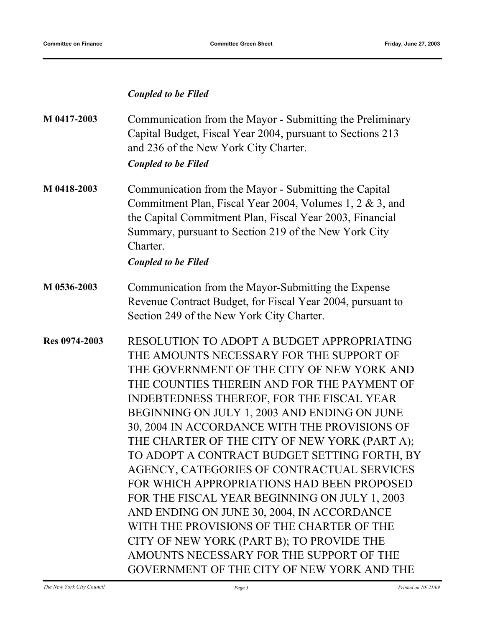### *Coupled to be Filed*

| M 0417-2003   | Communication from the Mayor - Submitting the Preliminary<br>Capital Budget, Fiscal Year 2004, pursuant to Sections 213<br>and 236 of the New York City Charter.                                                                                                                    |  |
|---------------|-------------------------------------------------------------------------------------------------------------------------------------------------------------------------------------------------------------------------------------------------------------------------------------|--|
|               | <b>Coupled to be Filed</b>                                                                                                                                                                                                                                                          |  |
| M 0418-2003   | Communication from the Mayor - Submitting the Capital<br>Commitment Plan, Fiscal Year 2004, Volumes 1, 2 $\&$ 3, and<br>the Capital Commitment Plan, Fiscal Year 2003, Financial<br>Summary, pursuant to Section 219 of the New York City<br>Charter.<br><b>Coupled to be Filed</b> |  |
| M 0536-2003   | Communication from the Mayor-Submitting the Expense<br>Revenue Contract Budget, for Fiscal Year 2004, pursuant to<br>Section 249 of the New York City Charter.                                                                                                                      |  |
| Res 0974-2003 | RESOLUTION TO ADOPT A BUDGET APPROPRIATING<br>THE AMOUNTS NECESSARY FOR THE SUPPORT OF<br>THE GOVERNMENT OF THE CITY OF NEW YORK AND                                                                                                                                                |  |

THE GOVERNMENT OF THE CITY OF NEW YORK AND THE COUNTIES THEREIN AND FOR THE PAYMENT OF INDEBTEDNESS THEREOF, FOR THE FISCAL YEAR BEGINNING ON JULY 1, 2003 AND ENDING ON JUNE 30, 2004 IN ACCORDANCE WITH THE PROVISIONS OF THE CHARTER OF THE CITY OF NEW YORK (PART A); TO ADOPT A CONTRACT BUDGET SETTING FORTH, BY AGENCY, CATEGORIES OF CONTRACTUAL SERVICES FOR WHICH APPROPRIATIONS HAD BEEN PROPOSED FOR THE FISCAL YEAR BEGINNING ON JULY 1, 2003 AND ENDING ON JUNE 30, 2004, IN ACCORDANCE WITH THE PROVISIONS OF THE CHARTER OF THE CITY OF NEW YORK (PART B); TO PROVIDE THE AMOUNTS NECESSARY FOR THE SUPPORT OF THE GOVERNMENT OF THE CITY OF NEW YORK AND THE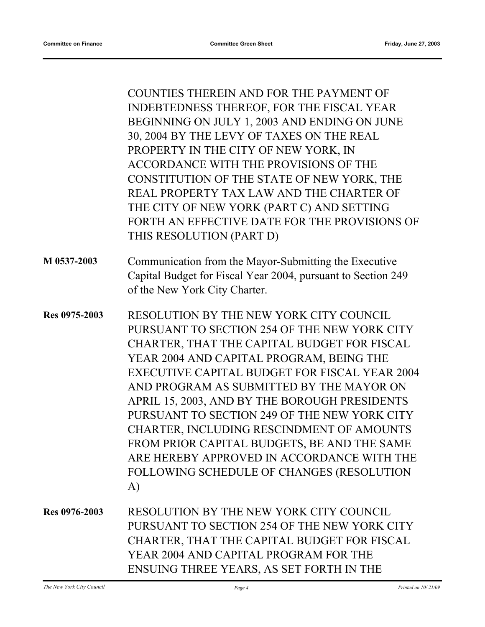COUNTIES THEREIN AND FOR THE PAYMENT OF INDEBTEDNESS THEREOF, FOR THE FISCAL YEAR BEGINNING ON JULY 1, 2003 AND ENDING ON JUNE 30, 2004 BY THE LEVY OF TAXES ON THE REAL PROPERTY IN THE CITY OF NEW YORK, IN ACCORDANCE WITH THE PROVISIONS OF THE CONSTITUTION OF THE STATE OF NEW YORK, THE REAL PROPERTY TAX LAW AND THE CHARTER OF THE CITY OF NEW YORK (PART C) AND SETTING FORTH AN EFFECTIVE DATE FOR THE PROVISIONS OF THIS RESOLUTION (PART D) Communication from the Mayor-Submitting the Executive Capital Budget for Fiscal Year 2004, pursuant to Section 249 of the New York City Charter. **M 0537-2003** RESOLUTION BY THE NEW YORK CITY COUNCIL PURSUANT TO SECTION 254 OF THE NEW YORK CITY CHARTER, THAT THE CAPITAL BUDGET FOR FISCAL YEAR 2004 AND CAPITAL PROGRAM, BEING THE EXECUTIVE CAPITAL BUDGET FOR FISCAL YEAR 2004 AND PROGRAM AS SUBMITTED BY THE MAYOR ON APRIL 15, 2003, AND BY THE BOROUGH PRESIDENTS PURSUANT TO SECTION 249 OF THE NEW YORK CITY CHARTER, INCLUDING RESCINDMENT OF AMOUNTS FROM PRIOR CAPITAL BUDGETS, BE AND THE SAME ARE HEREBY APPROVED IN ACCORDANCE WITH THE **Res 0975-2003**

FOLLOWING SCHEDULE OF CHANGES (RESOLUTION A)

RESOLUTION BY THE NEW YORK CITY COUNCIL PURSUANT TO SECTION 254 OF THE NEW YORK CITY CHARTER, THAT THE CAPITAL BUDGET FOR FISCAL YEAR 2004 AND CAPITAL PROGRAM FOR THE ENSUING THREE YEARS, AS SET FORTH IN THE **Res 0976-2003**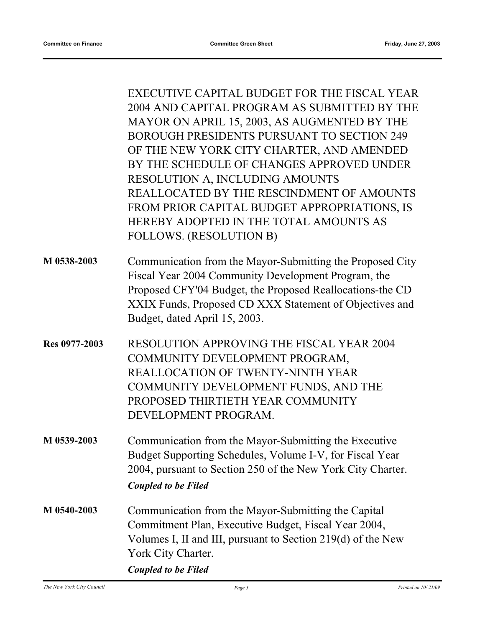|               | EXECUTIVE CAPITAL BUDGET FOR THE FISCAL YEAR<br>2004 AND CAPITAL PROGRAM AS SUBMITTED BY THE<br>MAYOR ON APRIL 15, 2003, AS AUGMENTED BY THE<br>BOROUGH PRESIDENTS PURSUANT TO SECTION 249<br>OF THE NEW YORK CITY CHARTER, AND AMENDED<br>BY THE SCHEDULE OF CHANGES APPROVED UNDER<br>RESOLUTION A, INCLUDING AMOUNTS<br>REALLOCATED BY THE RESCINDMENT OF AMOUNTS<br>FROM PRIOR CAPITAL BUDGET APPROPRIATIONS, IS<br>HEREBY ADOPTED IN THE TOTAL AMOUNTS AS<br>FOLLOWS. (RESOLUTION B) |
|---------------|-------------------------------------------------------------------------------------------------------------------------------------------------------------------------------------------------------------------------------------------------------------------------------------------------------------------------------------------------------------------------------------------------------------------------------------------------------------------------------------------|
| M 0538-2003   | Communication from the Mayor-Submitting the Proposed City<br>Fiscal Year 2004 Community Development Program, the<br>Proposed CFY'04 Budget, the Proposed Reallocations-the CD<br>XXIX Funds, Proposed CD XXX Statement of Objectives and<br>Budget, dated April 15, 2003.                                                                                                                                                                                                                 |
| Res 0977-2003 | RESOLUTION APPROVING THE FISCAL YEAR 2004<br>COMMUNITY DEVELOPMENT PROGRAM,<br>REALLOCATION OF TWENTY-NINTH YEAR<br>COMMUNITY DEVELOPMENT FUNDS, AND THE<br>PROPOSED THIRTIETH YEAR COMMUNITY<br>DEVELOPMENT PROGRAM.                                                                                                                                                                                                                                                                     |
| M 0539-2003   | Communication from the Mayor-Submitting the Executive<br>Budget Supporting Schedules, Volume I-V, for Fiscal Year<br>2004, pursuant to Section 250 of the New York City Charter.<br><b>Coupled to be Filed</b>                                                                                                                                                                                                                                                                            |
| M 0540-2003   | Communication from the Mayor-Submitting the Capital<br>Commitment Plan, Executive Budget, Fiscal Year 2004,<br>Volumes I, II and III, pursuant to Section 219(d) of the New<br>York City Charter.<br><b>Coupled to be Filed</b>                                                                                                                                                                                                                                                           |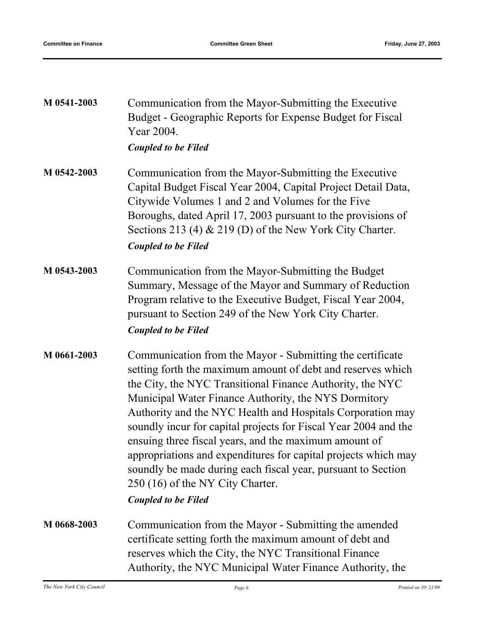| M 0541-2003 | Communication from the Mayor-Submitting the Executive<br>Budget - Geographic Reports for Expense Budget for Fiscal<br>Year 2004.<br><b>Coupled to be Filed</b>                                                                                                                                                                                                                                                                                                                                                                                                                                                                              |
|-------------|---------------------------------------------------------------------------------------------------------------------------------------------------------------------------------------------------------------------------------------------------------------------------------------------------------------------------------------------------------------------------------------------------------------------------------------------------------------------------------------------------------------------------------------------------------------------------------------------------------------------------------------------|
| M 0542-2003 | Communication from the Mayor-Submitting the Executive<br>Capital Budget Fiscal Year 2004, Capital Project Detail Data,<br>Citywide Volumes 1 and 2 and Volumes for the Five<br>Boroughs, dated April 17, 2003 pursuant to the provisions of<br>Sections 213 (4) $\&$ 219 (D) of the New York City Charter.<br><b>Coupled to be Filed</b>                                                                                                                                                                                                                                                                                                    |
| M 0543-2003 | Communication from the Mayor-Submitting the Budget<br>Summary, Message of the Mayor and Summary of Reduction<br>Program relative to the Executive Budget, Fiscal Year 2004,<br>pursuant to Section 249 of the New York City Charter.<br><b>Coupled to be Filed</b>                                                                                                                                                                                                                                                                                                                                                                          |
| M 0661-2003 | Communication from the Mayor - Submitting the certificate<br>setting forth the maximum amount of debt and reserves which<br>the City, the NYC Transitional Finance Authority, the NYC<br>Municipal Water Finance Authority, the NYS Dormitory<br>Authority and the NYC Health and Hospitals Corporation may<br>soundly incur for capital projects for Fiscal Year 2004 and the<br>ensuing three fiscal years, and the maximum amount of<br>appropriations and expenditures for capital projects which may<br>soundly be made during each fiscal year, pursuant to Section<br>250 (16) of the NY City Charter.<br><b>Coupled to be Filed</b> |
| M 0668-2003 | Communication from the Mayor - Submitting the amended<br>certificate setting forth the maximum amount of debt and<br>reserves which the City, the NYC Transitional Finance<br>Authority, the NYC Municipal Water Finance Authority, the                                                                                                                                                                                                                                                                                                                                                                                                     |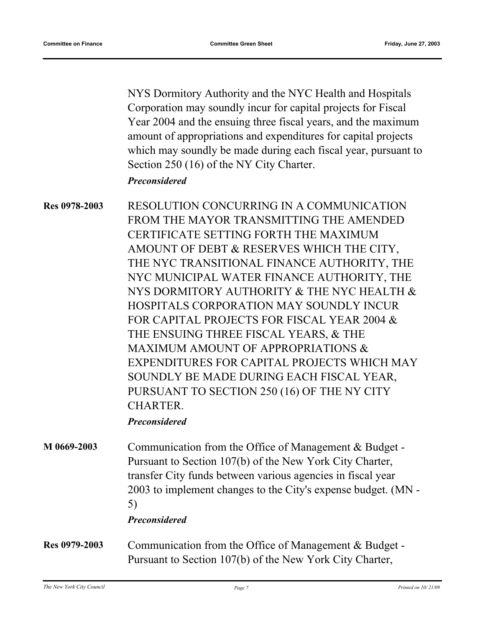NYS Dormitory Authority and the NYC Health and Hospitals Corporation may soundly incur for capital projects for Fiscal Year 2004 and the ensuing three fiscal years, and the maximum amount of appropriations and expenditures for capital projects which may soundly be made during each fiscal year, pursuant to Section 250 (16) of the NY City Charter.

#### *Preconsidered*

RESOLUTION CONCURRING IN A COMMUNICATION FROM THE MAYOR TRANSMITTING THE AMENDED CERTIFICATE SETTING FORTH THE MAXIMUM AMOUNT OF DEBT & RESERVES WHICH THE CITY, THE NYC TRANSITIONAL FINANCE AUTHORITY, THE NYC MUNICIPAL WATER FINANCE AUTHORITY, THE NYS DORMITORY AUTHORITY & THE NYC HEALTH & HOSPITALS CORPORATION MAY SOUNDLY INCUR FOR CAPITAL PROJECTS FOR FISCAL YEAR 2004 & THE ENSUING THREE FISCAL YEARS, & THE MAXIMUM AMOUNT OF APPROPRIATIONS & EXPENDITURES FOR CAPITAL PROJECTS WHICH MAY SOUNDLY BE MADE DURING EACH FISCAL YEAR, PURSUANT TO SECTION 250 (16) OF THE NY CITY CHARTER. **Res 0978-2003**

## *Preconsidered*

Communication from the Office of Management & Budget - Pursuant to Section 107(b) of the New York City Charter, transfer City funds between various agencies in fiscal year 2003 to implement changes to the City's expense budget. (MN - 5) **M 0669-2003**

## *Preconsidered*

Communication from the Office of Management & Budget - Pursuant to Section 107(b) of the New York City Charter, **Res 0979-2003**